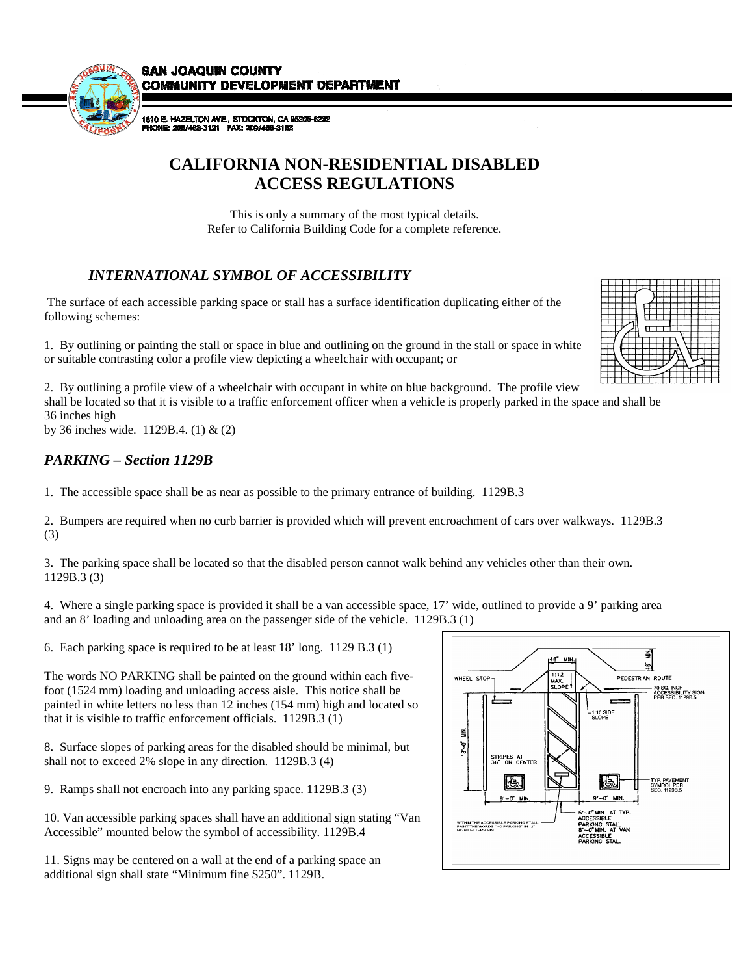**SAN JOAQUIN COUNTY COMMUNITY DEVELOPMENT DEPARTMENT** 



1810 E. HAZELTON AVE., STOCKTON, CA 95205-62<br>PHONE: 209/468-3121 FAX: 209/468-3163

# **CALIFORNIA NON-RESIDENTIAL DISABLED ACCESS REGULATIONS**

This is only a summary of the most typical details. Refer to California Building Code for a complete reference.

# *INTERNATIONAL SYMBOL OF ACCESSIBILITY*

 The surface of each accessible parking space or stall has a surface identification duplicating either of the following schemes:

1. By outlining or painting the stall or space in blue and outlining on the ground in the stall or space in white or suitable contrasting color a profile view depicting a wheelchair with occupant; or

2. By outlining a profile view of a wheelchair with occupant in white on blue background. The profile view shall be located so that it is visible to a traffic enforcement officer when a vehicle is properly parked in the space and shall be 36 inches high

by 36 inches wide. 1129B.4. (1) & (2)

# *PARKING – Section 1129B*

1. The accessible space shall be as near as possible to the primary entrance of building. 1129B.3

2. Bumpers are required when no curb barrier is provided which will prevent encroachment of cars over walkways. 1129B.3 (3)

3. The parking space shall be located so that the disabled person cannot walk behind any vehicles other than their own. 1129B.3 (3)

4. Where a single parking space is provided it shall be a van accessible space, 17' wide, outlined to provide a 9' parking area and an 8' loading and unloading area on the passenger side of the vehicle. 1129B.3 (1)

6. Each parking space is required to be at least 18' long. 1129 B.3 (1)

The words NO PARKING shall be painted on the ground within each fivefoot (1524 mm) loading and unloading access aisle. This notice shall be painted in white letters no less than 12 inches (154 mm) high and located so that it is visible to traffic enforcement officials. 1129B.3 (1)

8. Surface slopes of parking areas for the disabled should be minimal, but shall not to exceed 2% slope in any direction. 1129B.3 (4)

9. Ramps shall not encroach into any parking space. 1129B.3 (3)

10. Van accessible parking spaces shall have an additional sign stating "Van Accessible" mounted below the symbol of accessibility. 1129B.4

11. Signs may be centered on a wall at the end of a parking space an additional sign shall state "Minimum fine \$250". 1129B.



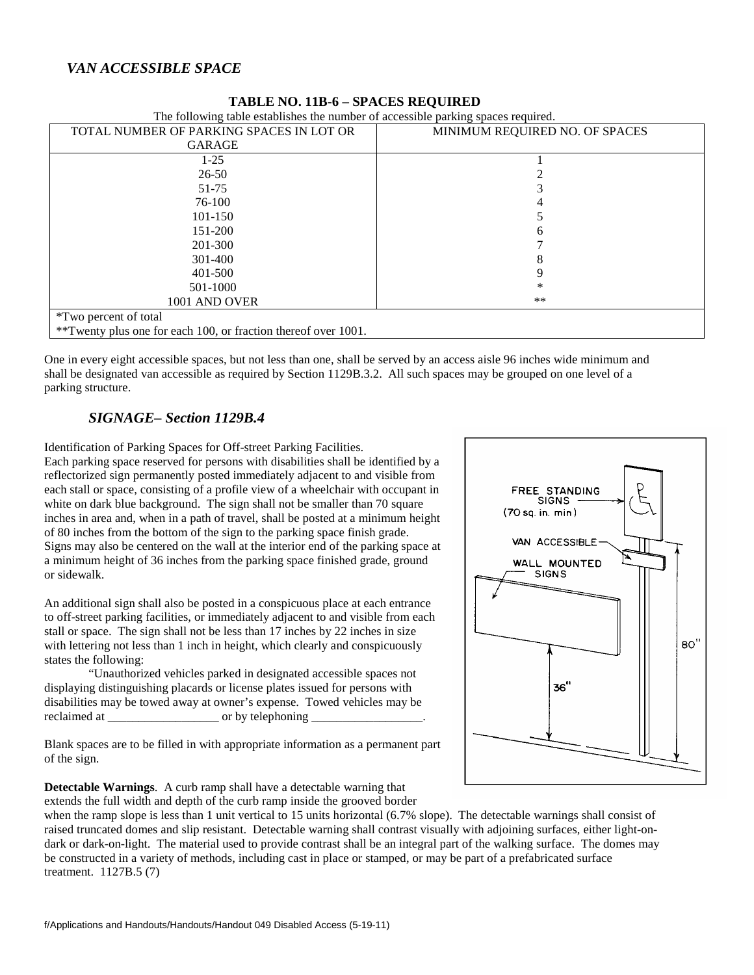## *VAN ACCESSIBLE SPACE*

| The following table establishes the number of accessible parking spaces required. |                                |
|-----------------------------------------------------------------------------------|--------------------------------|
| TOTAL NUMBER OF PARKING SPACES IN LOT OR                                          | MINIMUM REQUIRED NO. OF SPACES |
| GARAGE                                                                            |                                |
| $1-25$                                                                            |                                |
| $26 - 50$                                                                         |                                |
| 51-75                                                                             |                                |
| 76-100                                                                            |                                |
| 101-150                                                                           |                                |
| 151-200                                                                           |                                |
| 201-300                                                                           |                                |
| 301-400                                                                           | 8                              |
| 401-500                                                                           |                                |
| 501-1000                                                                          | *                              |
| 1001 AND OVER                                                                     | $***$                          |
| <i>*Two percent of total</i>                                                      |                                |
| **Twenty plus one for each 100, or fraction thereof over 1001.                    |                                |

### **TABLE NO. 11B-6 – SPACES REQUIRED**

One in every eight accessible spaces, but not less than one, shall be served by an access aisle 96 inches wide minimum and shall be designated van accessible as required by Section 1129B.3.2. All such spaces may be grouped on one level of a parking structure.

### *SIGNAGE– Section 1129B.4*

Identification of Parking Spaces for Off-street Parking Facilities. Each parking space reserved for persons with disabilities shall be identified by a reflectorized sign permanently posted immediately adjacent to and visible from each stall or space, consisting of a profile view of a wheelchair with occupant in white on dark blue background. The sign shall not be smaller than 70 square inches in area and, when in a path of travel, shall be posted at a minimum height of 80 inches from the bottom of the sign to the parking space finish grade. Signs may also be centered on the wall at the interior end of the parking space at a minimum height of 36 inches from the parking space finished grade, ground or sidewalk.

An additional sign shall also be posted in a conspicuous place at each entrance to off-street parking facilities, or immediately adjacent to and visible from each stall or space. The sign shall not be less than 17 inches by 22 inches in size with lettering not less than 1 inch in height, which clearly and conspicuously states the following:

 "Unauthorized vehicles parked in designated accessible spaces not displaying distinguishing placards or license plates issued for persons with disabilities may be towed away at owner's expense. Towed vehicles may be reclaimed at \_\_\_\_\_\_\_\_\_\_\_\_\_\_\_\_\_\_ or by telephoning \_\_\_\_\_\_\_\_\_\_\_\_\_\_\_\_\_\_.

Blank spaces are to be filled in with appropriate information as a permanent part of the sign.

**Detectable Warnings**. A curb ramp shall have a detectable warning that extends the full width and depth of the curb ramp inside the grooved border

FREE STANDING SIGNS (70 sq. in. min) VAN ACCESSIBLE-WALL MOUNTED **SIGNS** 80" 36"

when the ramp slope is less than 1 unit vertical to 15 units horizontal (6.7% slope). The detectable warnings shall consist of raised truncated domes and slip resistant. Detectable warning shall contrast visually with adjoining surfaces, either light-ondark or dark-on-light. The material used to provide contrast shall be an integral part of the walking surface. The domes may be constructed in a variety of methods, including cast in place or stamped, or may be part of a prefabricated surface treatment. 1127B.5 (7)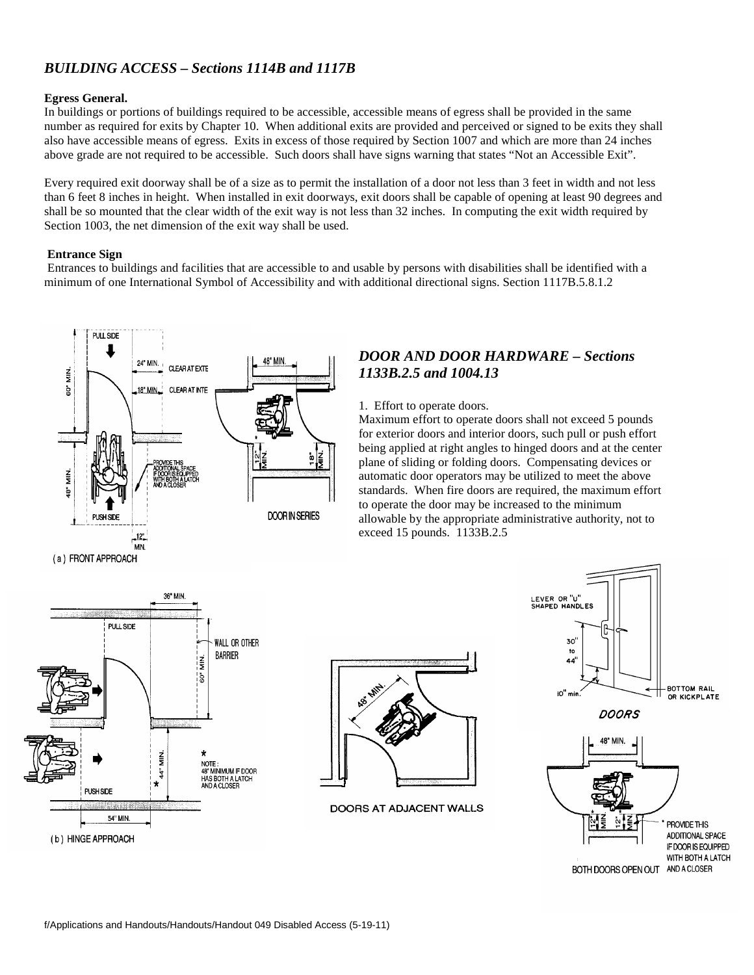# *BUILDING ACCESS – Sections 1114B and 1117B*

#### **Egress General.**

In buildings or portions of buildings required to be accessible, accessible means of egress shall be provided in the same number as required for exits by Chapter 10. When additional exits are provided and perceived or signed to be exits they shall also have accessible means of egress. Exits in excess of those required by Section 1007 and which are more than 24 inches above grade are not required to be accessible. Such doors shall have signs warning that states "Not an Accessible Exit".

Every required exit doorway shall be of a size as to permit the installation of a door not less than 3 feet in width and not less than 6 feet 8 inches in height. When installed in exit doorways, exit doors shall be capable of opening at least 90 degrees and shall be so mounted that the clear width of the exit way is not less than 32 inches. In computing the exit width required by Section 1003, the net dimension of the exit way shall be used.

#### **Entrance Sign**

Entrances to buildings and facilities that are accessible to and usable by persons with disabilities shall be identified with a minimum of one International Symbol of Accessibility and with additional directional signs. Section 1117B.5.8.1.2



## *DOOR AND DOOR HARDWARE – Sections 1133B.2.5 and 1004.13*

#### 1. Effort to operate doors.

Maximum effort to operate doors shall not exceed 5 pounds for exterior doors and interior doors, such pull or push effort being applied at right angles to hinged doors and at the center plane of sliding or folding doors. Compensating devices or automatic door operators may be utilized to meet the above standards. When fire doors are required, the maximum effort to operate the door may be increased to the minimum allowable by the appropriate administrative authority, not to exceed 15 pounds. 1133B.2.5





DOORS AT ADJACENT WALLS

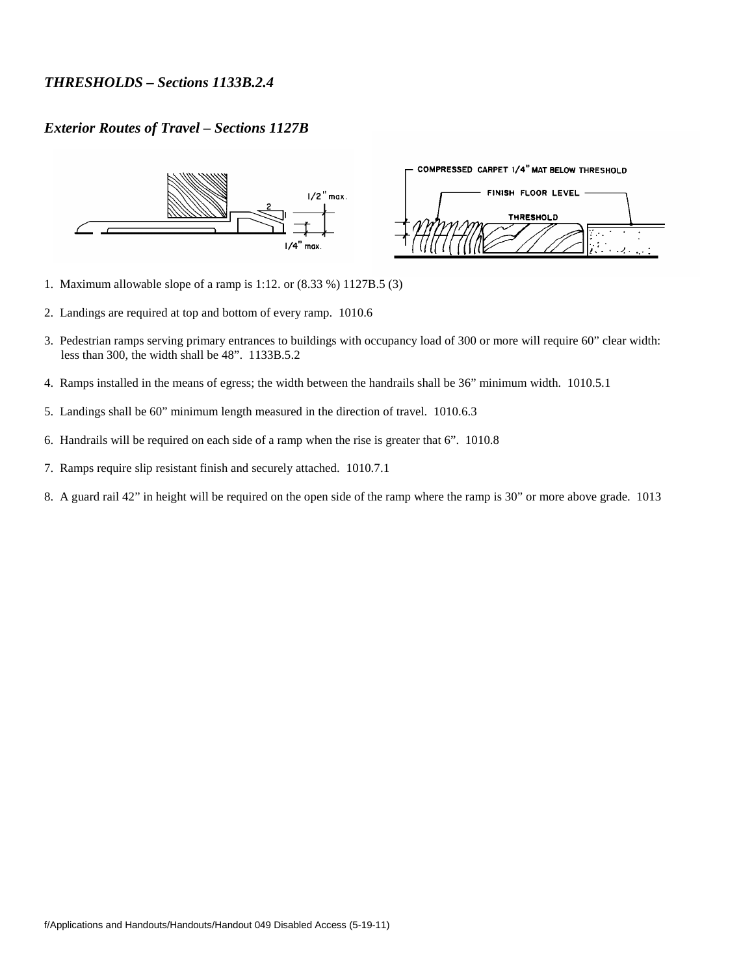## *THRESHOLDS – Sections 1133B.2.4*

### *Exterior Routes of Travel – Sections 1127B*



- 1. Maximum allowable slope of a ramp is 1:12. or (8.33 %) 1127B.5 (3)
- 2. Landings are required at top and bottom of every ramp. 1010.6
- 3. Pedestrian ramps serving primary entrances to buildings with occupancy load of 300 or more will require 60" clear width: less than 300, the width shall be 48". 1133B.5.2
- 4. Ramps installed in the means of egress; the width between the handrails shall be 36" minimum width. 1010.5.1
- 5. Landings shall be 60" minimum length measured in the direction of travel. 1010.6.3
- 6. Handrails will be required on each side of a ramp when the rise is greater that 6". 1010.8
- 7. Ramps require slip resistant finish and securely attached. 1010.7.1
- 8. A guard rail 42" in height will be required on the open side of the ramp where the ramp is 30" or more above grade. 1013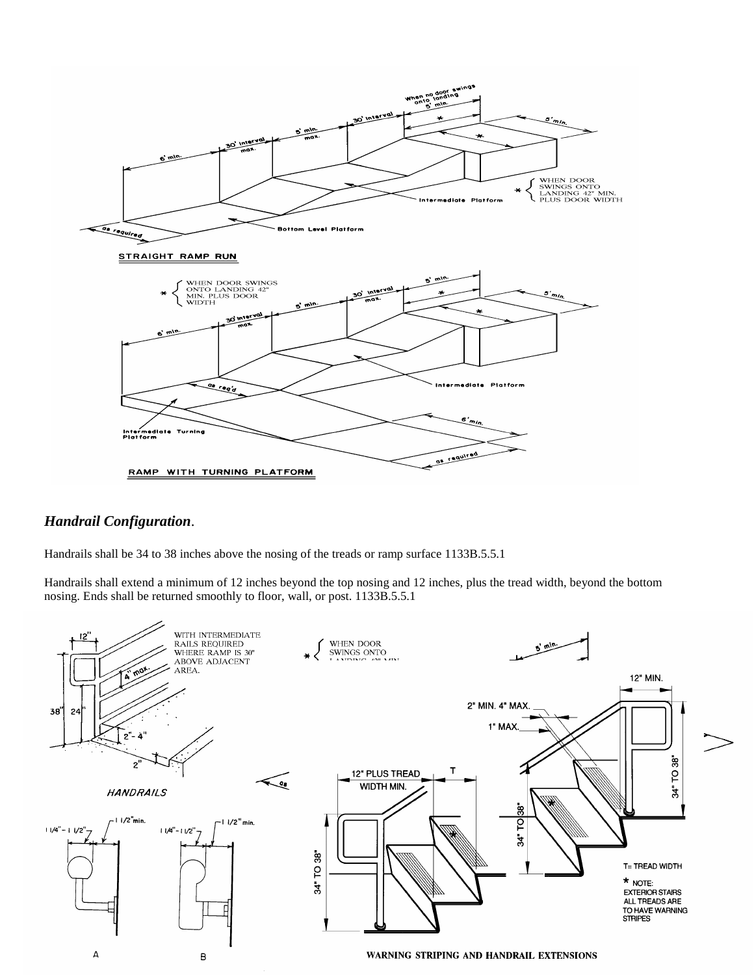

## *Handrail Configuration*.

Handrails shall be 34 to 38 inches above the nosing of the treads or ramp surface 1133B.5.5.1

Handrails shall extend a minimum of 12 inches beyond the top nosing and 12 inches, plus the tread width, beyond the bottom nosing. Ends shall be returned smoothly to floor, wall, or post. 1133B.5.5.1

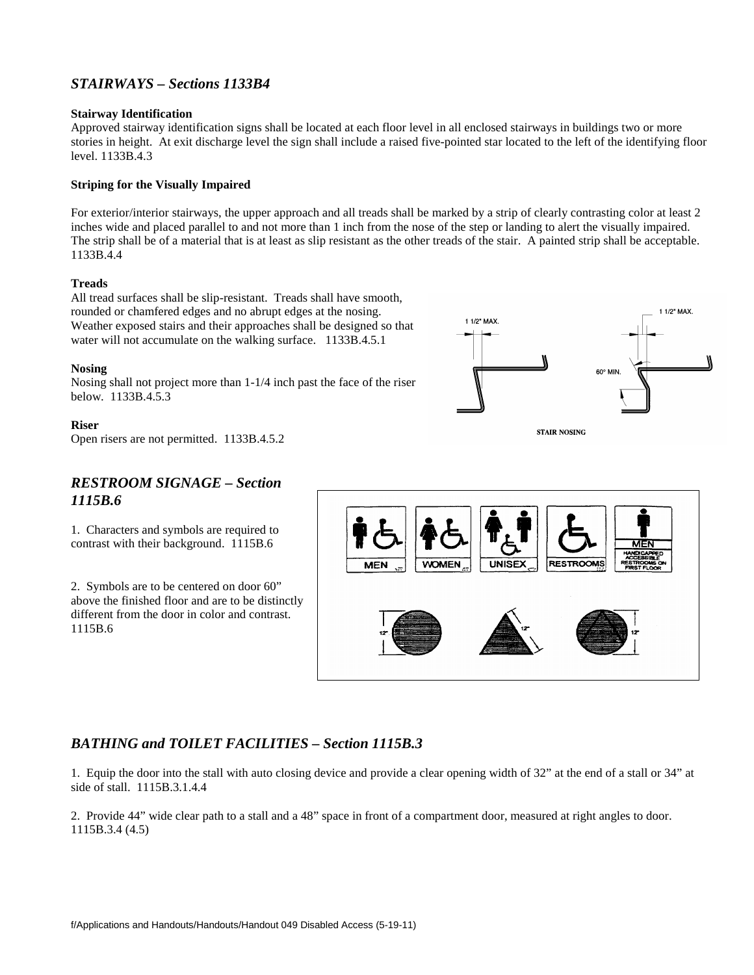# *STAIRWAYS – Sections 1133B4*

#### **Stairway Identification**

Approved stairway identification signs shall be located at each floor level in all enclosed stairways in buildings two or more stories in height. At exit discharge level the sign shall include a raised five-pointed star located to the left of the identifying floor level. 1133B.4.3

#### **Striping for the Visually Impaired**

For exterior/interior stairways, the upper approach and all treads shall be marked by a strip of clearly contrasting color at least 2 inches wide and placed parallel to and not more than 1 inch from the nose of the step or landing to alert the visually impaired. The strip shall be of a material that is at least as slip resistant as the other treads of the stair. A painted strip shall be acceptable. 1133B.4.4

#### **Treads**

All tread surfaces shall be slip-resistant. Treads shall have smooth, rounded or chamfered edges and no abrupt edges at the nosing. Weather exposed stairs and their approaches shall be designed so that water will not accumulate on the walking surface. 1133B.4.5.1

#### **Nosing**

Nosing shall not project more than 1-1/4 inch past the face of the riser below. 1133B.4.5.3

#### **Riser**

Open risers are not permitted. 1133B.4.5.2

### *RESTROOM SIGNAGE – Section 1115B.6*

1. Characters and symbols are required to contrast with their background. 1115B.6

2. Symbols are to be centered on door 60" above the finished floor and are to be distinctly different from the door in color and contrast. 1115B.6



## *BATHING and TOILET FACILITIES – Section 1115B.3*

1. Equip the door into the stall with auto closing device and provide a clear opening width of 32" at the end of a stall or 34" at side of stall. 1115B.3.1.4.4

2. Provide 44" wide clear path to a stall and a 48" space in front of a compartment door, measured at right angles to door. 1115B.3.4 (4.5)



**STAIR NOSING**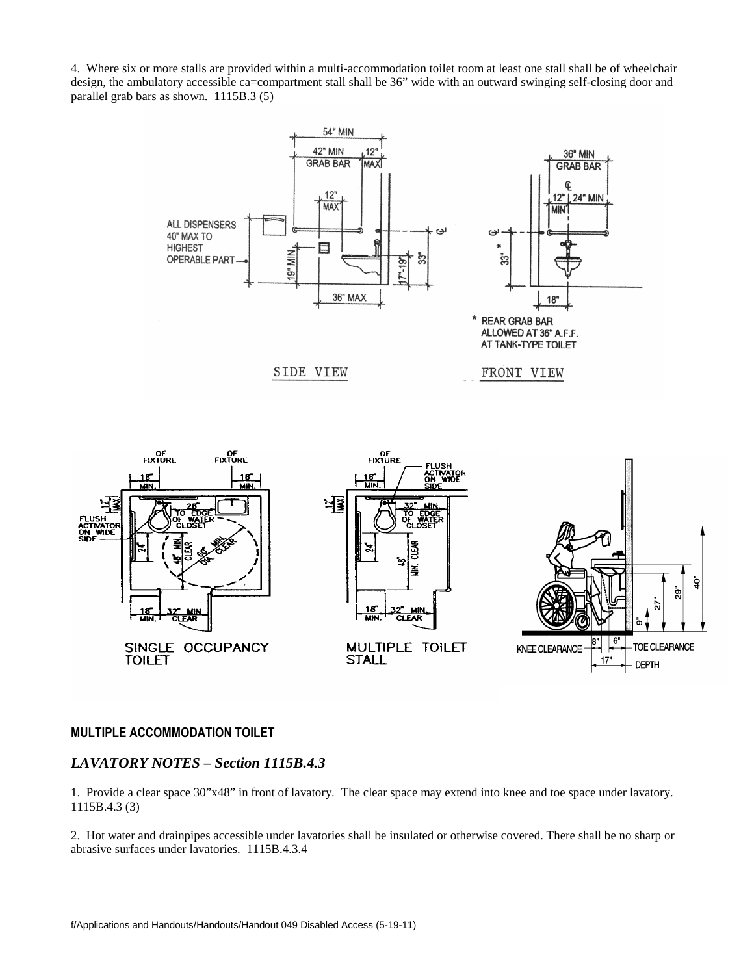4. Where six or more stalls are provided within a multi-accommodation toilet room at least one stall shall be of wheelchair design, the ambulatory accessible ca=compartment stall shall be 36" wide with an outward swinging self-closing door and parallel grab bars as shown. 1115B.3 (5)





### **MULTIPLE ACCOMMODATION TOILET**

### *LAVATORY NOTES – Section 1115B.4.3*

1. Provide a clear space 30"x48" in front of lavatory. The clear space may extend into knee and toe space under lavatory. 1115B.4.3 (3)

2. Hot water and drainpipes accessible under lavatories shall be insulated or otherwise covered. There shall be no sharp or abrasive surfaces under lavatories. 1115B.4.3.4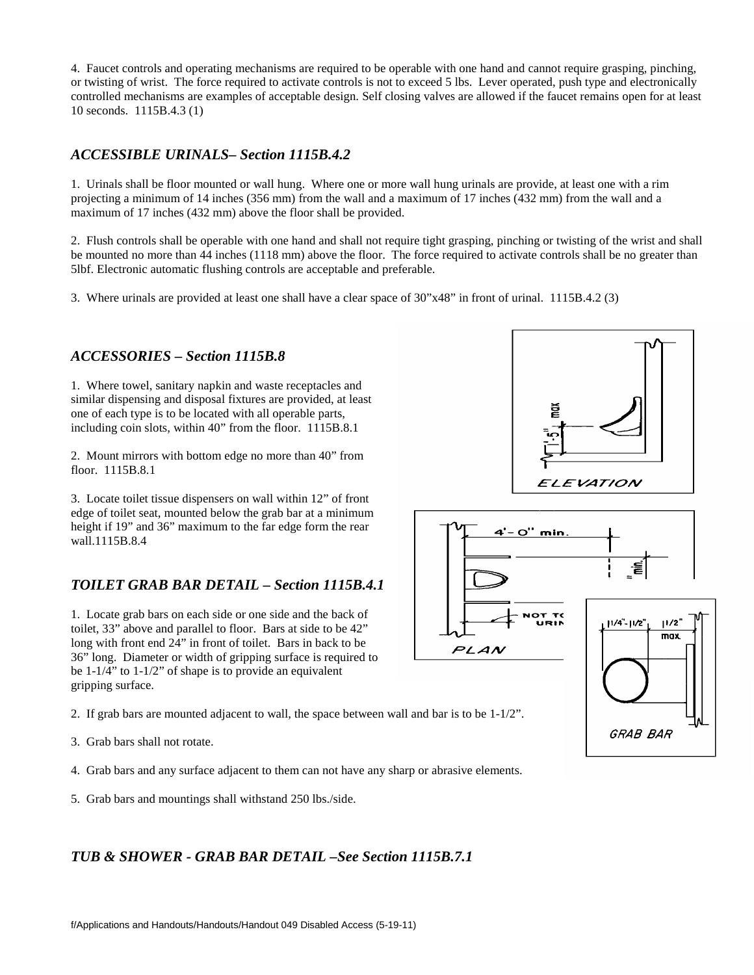4. Faucet controls and operating mechanisms are required to be operable with one hand and cannot require grasping, pinching, or twisting of wrist. The force required to activate controls is not to exceed 5 lbs. Lever operated, push type and electronically controlled mechanisms are examples of acceptable design. Self closing valves are allowed if the faucet remains open for at least 10 seconds. 1115B.4.3 (1)

## *ACCESSIBLE URINALS– Section 1115B.4.2*

1. Urinals shall be floor mounted or wall hung. Where one or more wall hung urinals are provide, at least one with a rim projecting a minimum of 14 inches (356 mm) from the wall and a maximum of 17 inches (432 mm) from the wall and a maximum of 17 inches (432 mm) above the floor shall be provided.

2. Flush controls shall be operable with one hand and shall not require tight grasping, pinching or twisting of the wrist and shall be mounted no more than 44 inches (1118 mm) above the floor. The force required to activate controls shall be no greater than 5lbf. Electronic automatic flushing controls are acceptable and preferable.

3. Where urinals are provided at least one shall have a clear space of 30"x48" in front of urinal. 1115B.4.2 (3)

### *ACCESSORIES – Section 1115B.8*

1. Where towel, sanitary napkin and waste receptacles and similar dispensing and disposal fixtures are provided, at least one of each type is to be located with all operable parts, including coin slots, within 40" from the floor. 1115B.8.1

2. Mount mirrors with bottom edge no more than 40" from floor. 1115B.8.1

3. Locate toilet tissue dispensers on wall within 12" of front edge of toilet seat, mounted below the grab bar at a minimum height if 19" and 36" maximum to the far edge form the rear wall.1115B.8.4

# *TOILET GRAB BAR DETAIL – Section 1115B.4.1*

1. Locate grab bars on each side or one side and the back of toilet, 33" above and parallel to floor. Bars at side to be 42" long with front end  $24$ " in front of toilet. Bars in back to be 36" long. Diameter or width of gripping surface is required to be 1-1/4" to 1-1/2" of shape is to provide an equivalent gripping surface.

2. If grab bars are mounted adjacent to wall, the space between wall and bar is to be 1-1/2".

- 3. Grab bars shall not rotate.
- 4. Grab bars and any surface adjacent to them can not have any sharp or abrasive elements.
- 5. Grab bars and mountings shall withstand 250 lbs./side.

*TUB & SHOWER - GRAB BAR DETAIL –See Section 1115B.7.1* 



GRAB BAR

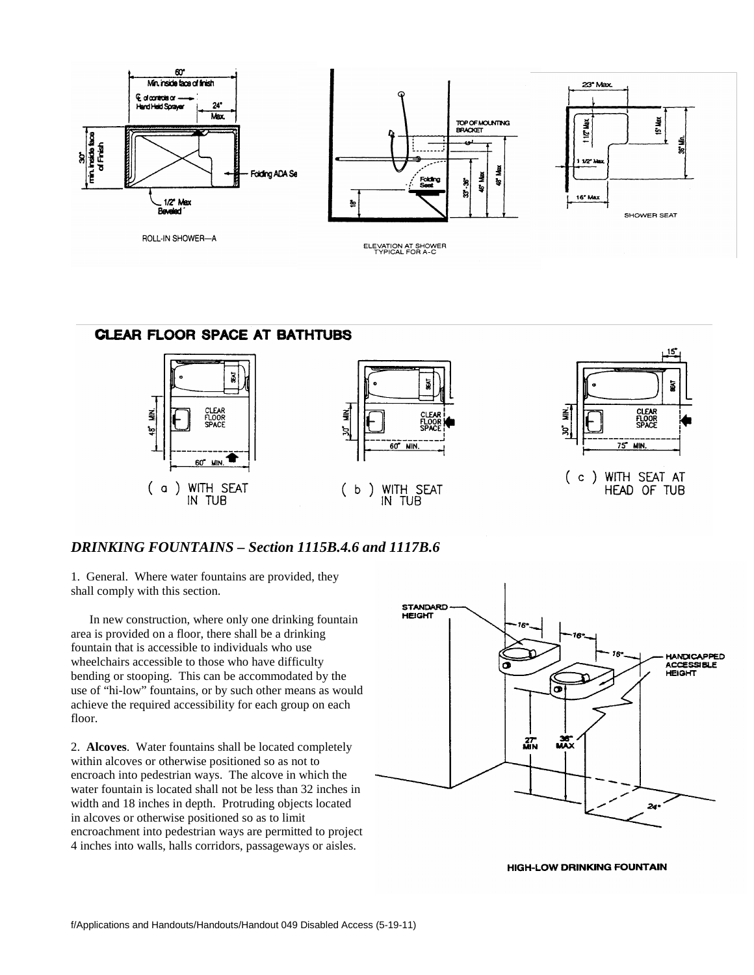



# *DRINKING FOUNTAINS – Section 1115B.4.6 and 1117B.6*

1. General. Where water fountains are provided, they shall comply with this section.

 In new construction, where only one drinking fountain area is provided on a floor, there shall be a drinking fountain that is accessible to individuals who use wheelchairs accessible to those who have difficulty bending or stooping. This can be accommodated by the use of "hi-low" fountains, or by such other means as would achieve the required accessibility for each group on each floor.

2. **Alcoves**. Water fountains shall be located completely within alcoves or otherwise positioned so as not to encroach into pedestrian ways. The alcove in which the water fountain is located shall not be less than 32 inches in width and 18 inches in depth. Protruding objects located in alcoves or otherwise positioned so as to limit encroachment into pedestrian ways are permitted to project 4 inches into walls, halls corridors, passageways or aisles.



**HIGH-LOW DRINKING FOUNTAIN**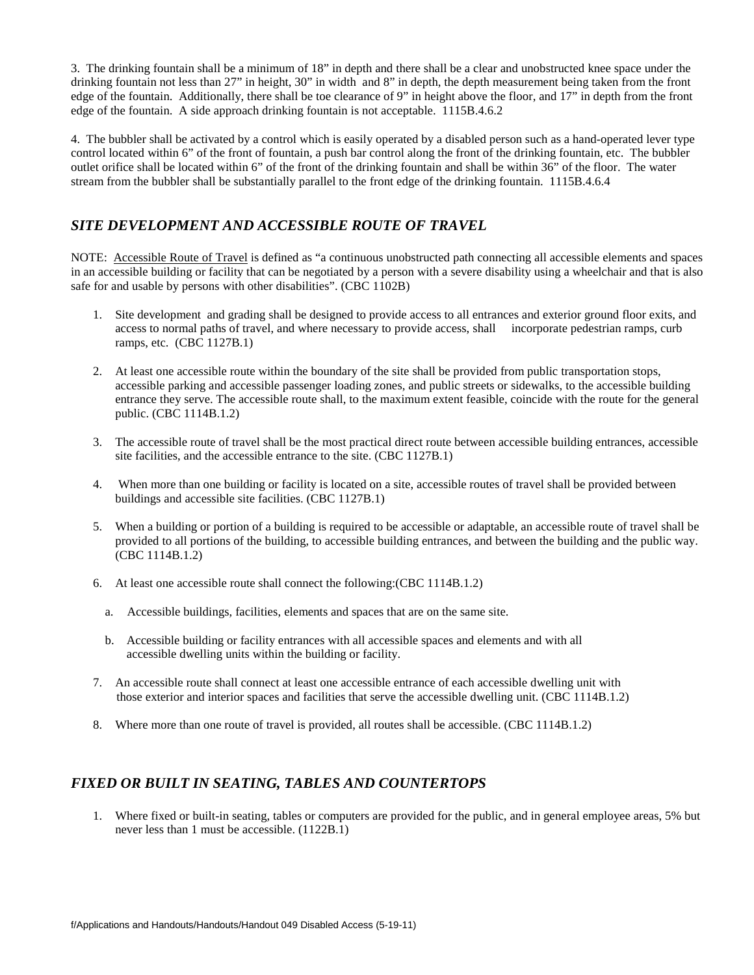3. The drinking fountain shall be a minimum of 18" in depth and there shall be a clear and unobstructed knee space under the drinking fountain not less than 27" in height, 30" in width and 8" in depth, the depth measurement being taken from the front edge of the fountain. Additionally, there shall be toe clearance of 9" in height above the floor, and 17" in depth from the front edge of the fountain. A side approach drinking fountain is not acceptable. 1115B.4.6.2

4. The bubbler shall be activated by a control which is easily operated by a disabled person such as a hand-operated lever type control located within 6" of the front of fountain, a push bar control along the front of the drinking fountain, etc. The bubbler outlet orifice shall be located within 6" of the front of the drinking fountain and shall be within 36" of the floor. The water stream from the bubbler shall be substantially parallel to the front edge of the drinking fountain. 1115B.4.6.4

## *SITE DEVELOPMENT AND ACCESSIBLE ROUTE OF TRAVEL*

NOTE: Accessible Route of Travel is defined as "a continuous unobstructed path connecting all accessible elements and spaces in an accessible building or facility that can be negotiated by a person with a severe disability using a wheelchair and that is also safe for and usable by persons with other disabilities". (CBC 1102B)

- 1. Site development and grading shall be designed to provide access to all entrances and exterior ground floor exits, and access to normal paths of travel, and where necessary to provide access, shall incorporate pedestrian ramps, curb ramps, etc. (CBC 1127B.1)
- 2. At least one accessible route within the boundary of the site shall be provided from public transportation stops, accessible parking and accessible passenger loading zones, and public streets or sidewalks, to the accessible building entrance they serve. The accessible route shall, to the maximum extent feasible, coincide with the route for the general public. (CBC 1114B.1.2)
- 3. The accessible route of travel shall be the most practical direct route between accessible building entrances, accessible site facilities, and the accessible entrance to the site. (CBC 1127B.1)
- 4. When more than one building or facility is located on a site, accessible routes of travel shall be provided between buildings and accessible site facilities. (CBC 1127B.1)
- 5. When a building or portion of a building is required to be accessible or adaptable, an accessible route of travel shall be provided to all portions of the building, to accessible building entrances, and between the building and the public way. (CBC 1114B.1.2)
- 6. At least one accessible route shall connect the following:(CBC 1114B.1.2)
	- a. Accessible buildings, facilities, elements and spaces that are on the same site.
	- b. Accessible building or facility entrances with all accessible spaces and elements and with all accessible dwelling units within the building or facility.
- 7. An accessible route shall connect at least one accessible entrance of each accessible dwelling unit with those exterior and interior spaces and facilities that serve the accessible dwelling unit. (CBC 1114B.1.2)
- 8. Where more than one route of travel is provided, all routes shall be accessible. (CBC 1114B.1.2)

## *FIXED OR BUILT IN SEATING, TABLES AND COUNTERTOPS*

1. Where fixed or built-in seating, tables or computers are provided for the public, and in general employee areas, 5% but never less than 1 must be accessible. (1122B.1)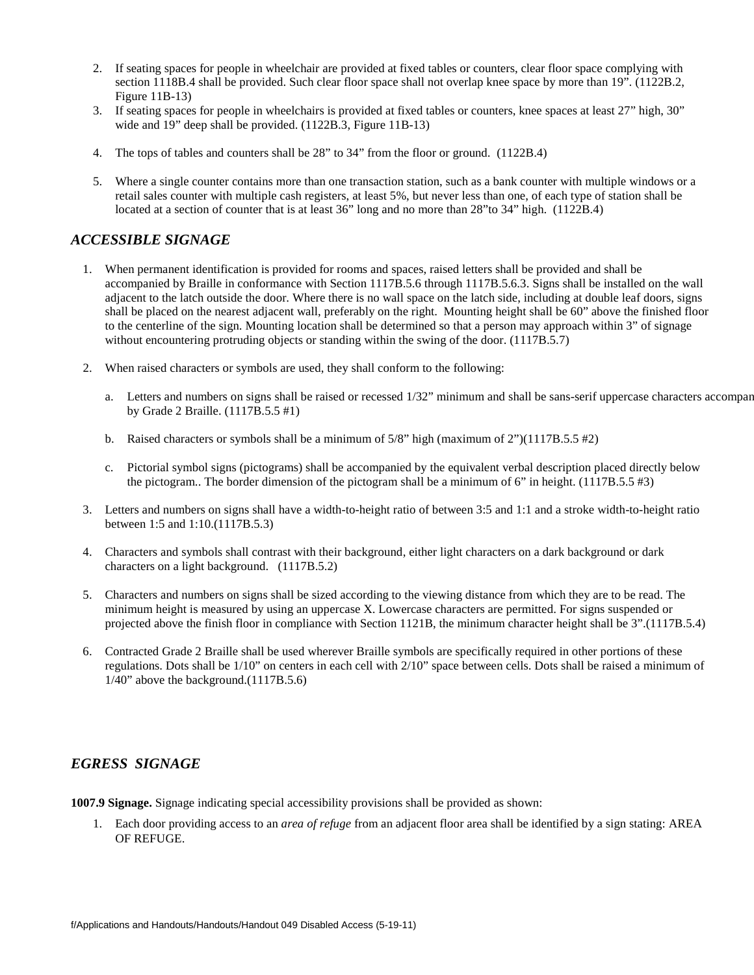- 2. If seating spaces for people in wheelchair are provided at fixed tables or counters, clear floor space complying with section 1118B.4 shall be provided. Such clear floor space shall not overlap knee space by more than 19". (1122B.2, Figure 11B-13)
- 3. If seating spaces for people in wheelchairs is provided at fixed tables or counters, knee spaces at least 27" high, 30" wide and 19" deep shall be provided. (1122B.3, Figure 11B-13)
- 4. The tops of tables and counters shall be 28" to 34" from the floor or ground. (1122B.4)
- 5. Where a single counter contains more than one transaction station, such as a bank counter with multiple windows or a retail sales counter with multiple cash registers, at least 5%, but never less than one, of each type of station shall be located at a section of counter that is at least 36" long and no more than 28"to 34" high. (1122B.4)

# *ACCESSIBLE SIGNAGE*

- 1. When permanent identification is provided for rooms and spaces, raised letters shall be provided and shall be accompanied by Braille in conformance with Section 1117B.5.6 through 1117B.5.6.3. Signs shall be installed on the wall adjacent to the latch outside the door. Where there is no wall space on the latch side, including at double leaf doors, signs shall be placed on the nearest adjacent wall, preferably on the right. Mounting height shall be 60" above the finished floor to the centerline of the sign. Mounting location shall be determined so that a person may approach within 3" of signage without encountering protruding objects or standing within the swing of the door. (1117B.5.7)
- 2. When raised characters or symbols are used, they shall conform to the following:
	- a. Letters and numbers on signs shall be raised or recessed 1/32" minimum and shall be sans-serif uppercase characters accompanied by Grade 2 Braille. (1117B.5.5 #1)
	- b. Raised characters or symbols shall be a minimum of  $5/8$ " high (maximum of  $2$ ")(1117B.5.5 #2)
	- c. Pictorial symbol signs (pictograms) shall be accompanied by the equivalent verbal description placed directly below the pictogram.. The border dimension of the pictogram shall be a minimum of 6" in height. (1117B.5.5 #3)
- 3. Letters and numbers on signs shall have a width-to-height ratio of between 3:5 and 1:1 and a stroke width-to-height ratio between 1:5 and 1:10.(1117B.5.3)
- 4. Characters and symbols shall contrast with their background, either light characters on a dark background or dark characters on a light background. (1117B.5.2)
- 5. Characters and numbers on signs shall be sized according to the viewing distance from which they are to be read. The minimum height is measured by using an uppercase X. Lowercase characters are permitted. For signs suspended or projected above the finish floor in compliance with Section 1121B, the minimum character height shall be 3".(1117B.5.4)
- 6. Contracted Grade 2 Braille shall be used wherever Braille symbols are specifically required in other portions of these regulations. Dots shall be 1/10" on centers in each cell with 2/10" space between cells. Dots shall be raised a minimum of 1/40" above the background.(1117B.5.6)

## *EGRESS SIGNAGE*

**1007.9 Signage.** Signage indicating special accessibility provisions shall be provided as shown:

1. Each door providing access to an *area of refuge* from an adjacent floor area shall be identified by a sign stating: AREA OF REFUGE.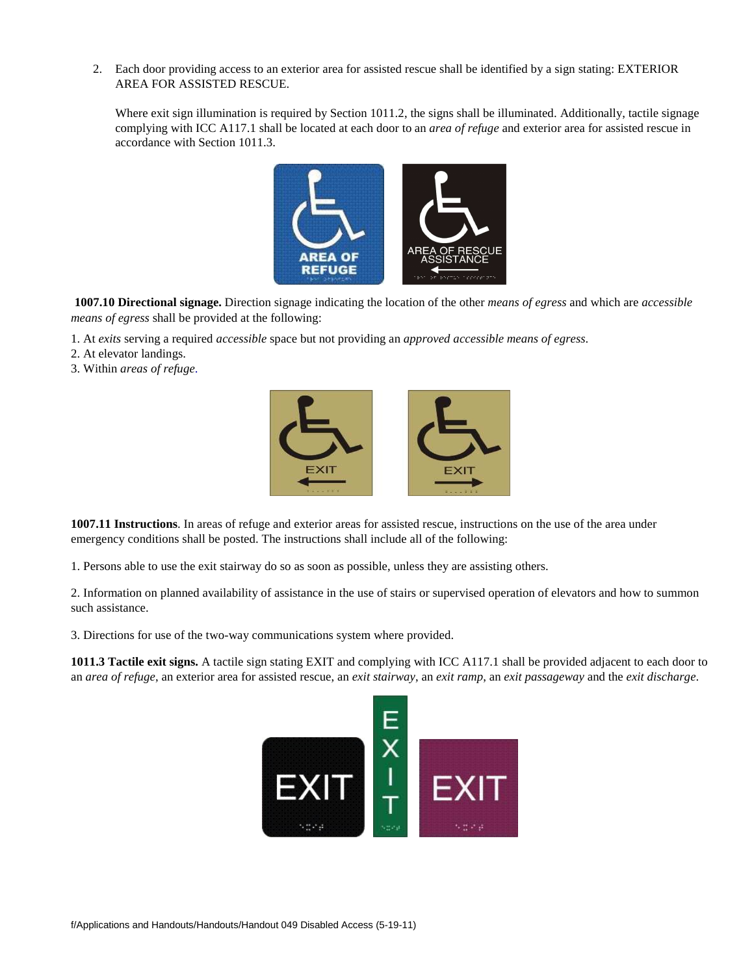2. Each door providing access to an exterior area for assisted rescue shall be identified by a sign stating: EXTERIOR AREA FOR ASSISTED RESCUE.

Where exit sign illumination is required by Section 1011.2, the signs shall be illuminated. Additionally, tactile signage complying with ICC A117.1 shall be located at each door to an *area of refuge* and exterior area for assisted rescue in accordance with Section 1011.3.



**1007.10 Directional signage.** Direction signage indicating the location of the other *means of egress* and which are *accessible means of egress* shall be provided at the following:

- 1. At *exits* serving a required *accessible* space but not providing an *approved accessible means of egress*.
- 2. At elevator landings.
- 3. Within *areas of refuge*.



**1007.11 Instructions**. In areas of refuge and exterior areas for assisted rescue, instructions on the use of the area under emergency conditions shall be posted. The instructions shall include all of the following:

1. Persons able to use the exit stairway do so as soon as possible, unless they are assisting others.

2. Information on planned availability of assistance in the use of stairs or supervised operation of elevators and how to summon such assistance.

3. Directions for use of the two-way communications system where provided.

**1011.3 Tactile exit signs.** A tactile sign stating EXIT and complying with ICC A117.1 shall be provided adjacent to each door to an *area of refuge*, an exterior area for assisted rescue, an *exit stairway*, an *exit ramp*, an *exit passageway* and the *exit discharge*.